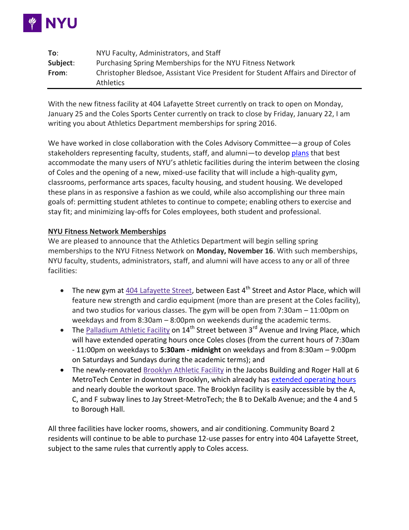

| To:      | NYU Faculty, Administrators, and Staff                                                                |
|----------|-------------------------------------------------------------------------------------------------------|
| Subject: | Purchasing Spring Memberships for the NYU Fitness Network                                             |
| From:    | Christopher Bledsoe, Assistant Vice President for Student Affairs and Director of<br><b>Athletics</b> |

With the new fitness facility at 404 Lafayette Street currently on track to open on Monday, January 25 and the Coles Sports Center currently on track to close by Friday, January 22, I am writing you about Athletics Department memberships for spring 2016.

We have worked in close collaboration with the Coles Advisory Committee—a group of Coles stakeholders representing faculty, students, staff, and alumni—to develo[p plans](http://gonyuathletics.com/sports/2015/5/19/GEN_0519154428.aspx) that best accommodate the many users of NYU's athletic facilities during the interim between the closing of Coles and the opening of a new, mixed-use facility that will include a high-quality gym, classrooms, performance arts spaces, faculty housing, and student housing. We developed these plans in as responsive a fashion as we could, while also accomplishing our three main goals of: permitting student athletes to continue to compete; enabling others to exercise and stay fit; and minimizing lay-offs for Coles employees, both student and professional.

# **NYU Fitness Network Memberships**

We are pleased to announce that the Athletics Department will begin selling spring memberships to the NYU Fitness Network on **Monday, November 16**. With such memberships, NYU faculty, students, administrators, staff, and alumni will have access to any or all of three facilities:

- The new gym at [404 Lafayette Street,](http://gonyuathletics.com/common/controls/image_handler.aspx?thumb_id=13&image_path=/images/2015/9/9/Coles_404_Lafayette_Gym_render_2.jpg) between East  $4<sup>th</sup>$  Street and Astor Place, which will feature new strength and cardio equipment (more than are present at the Coles facility), and two studios for various classes. The gym will be open from 7:30am – 11:00pm on weekdays and from 8:30am – 8:00pm on weekends during the academic terms.
- The [Palladium Athletic Facility](http://www.gonyuathletics.com/sports/2011/12/1/Palladium_1201112947.aspx?path=palladium) on  $14<sup>th</sup>$  Street between  $3<sup>rd</sup>$  Avenue and Irving Place, which will have extended operating hours once Coles closes (from the current hours of 7:30am - 11:00pm on weekdays to **5:30am - midnight** on weekdays and from 8:30am – 9:00pm on Saturdays and Sundays during the academic terms); and
- The newly-renovated [Brooklyn Athletic Facility](http://www.gonyuathletics.com/sports/2014/10/8/BAF_1008141433.aspx?path=baf) in the Jacobs Building and Roger Hall at 6 MetroTech Center in downtown Brooklyn, which already has [extended operating hours](http://www.gonyuathletics.com/sports/2014/7/15/BAF_0715144605.aspx?path=baf) and nearly double the workout space. The Brooklyn facility is easily accessible by the A, C, and F subway lines to Jay Street-MetroTech; the B to DeKalb Avenue; and the 4 and 5 to Borough Hall.

All three facilities have locker rooms, showers, and air conditioning. Community Board 2 residents will continue to be able to purchase 12-use passes for entry into 404 Lafayette Street, subject to the same rules that currently apply to Coles access.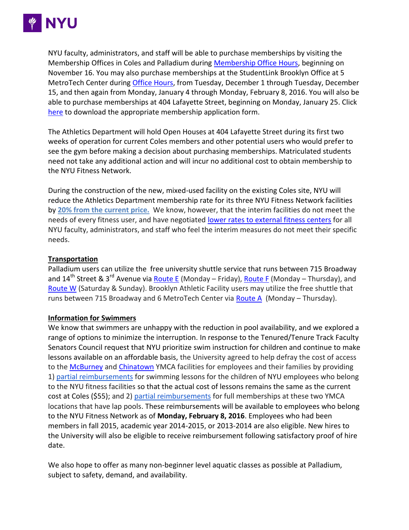

NYU faculty, administrators, and staff will be able to purchase memberships by visiting the Membership Offices in Coles and Palladium during [Membership Office Hours,](http://gonyuathletics.com/sports/2015/3/17/Fac_0317151751.aspx) beginning on November 16. You may also purchase memberships at the StudentLink Brooklyn Office at 5 MetroTech Center during [Office Hours,](http://www.nyu.edu/life/resources-and-services/nyu-studentlink.html) from Tuesday, December 1 through Tuesday, December 15, and then again from Monday, January 4 through Monday, February 8, 2016. You will also be able to purchase memberships at 404 Lafayette Street, beginning on Monday, January 25. Click [here](http://gonyuathletics.com/sports/2015/3/17/Fac_0317151751.aspx) to download the appropriate membership application form.

The Athletics Department will hold Open Houses at 404 Lafayette Street during its first two weeks of operation for current Coles members and other potential users who would prefer to see the gym before making a decision about purchasing memberships. Matriculated students need not take any additional action and will incur no additional cost to obtain membership to the NYU Fitness Network.

During the construction of the new, mixed-used facility on the existing Coles site, NYU will reduce the Athletics Department membership rate for its three NYU Fitness Network facilities by **[20% from the current price.](http://gonyuathletics.com/sports/2015/3/17/Fac_0317151751.aspx#member)** We know, however, that the interim facilities do not meet the needs of every fitness user, and have negotiated [lower rates to external fitness centers](http://www.gonyuathletics.com/sports/2015/10/29/GEN_1029155454.aspx?id=1601) for all NYU faculty, administrators, and staff who feel the interim measures do not meet their specific needs.

## **Transportation**

Palladium users can utilize the free university shuttle service that runs between 715 Broadway and 14<sup>th</sup> Street & 3<sup>rd</sup> Avenue via **Route E** (Monday – Friday), [Route F](http://www.nyu.edu/life/travel-and-transportation/university-transportation/routes-and-schedules/route-f.html) (Monday – Thursday), and [Route W](http://www.nyu.edu/life/travel-and-transportation/university-transportation/routes-and-schedules/route-w.html) (Saturday & Sunday). Brooklyn Athletic Facility users may utilize the free shuttle that runs between 715 Broadway and 6 MetroTech Center via [Route A](http://www.nyu.edu/life/travel-and-transportation/university-transportation/routes-and-schedules/route-a.html) (Monday – Thursday).

## **Information for Swimmers**

We know that swimmers are unhappy with the reduction in pool availability, and we explored a range of options to minimize the interruption. In response to the Tenured/Tenure Track Faculty Senators Council request that NYU prioritize swim instruction for children and continue to make lessons available on an affordable basis, the University agreed to help defray the cost of access to the [McBurney](http://www.ymcanyc.org/mcburney) and [Chinatown](http://www.ymcanyc.org/chinatown) YMCA facilities for employees and their families by providing 1) [partial reimbursements](http://gonyuathletics.com/sports/2015/5/8/GEN_0508152204.aspx?id=1551) for swimming lessons for the children of NYU employees who belong to the NYU fitness facilities so that the actual cost of lessons remains the same as the current cost at Coles (\$55); and 2) [partial reimbursements](http://gonyuathletics.com/sports/2015/5/8/GEN_0508152204.aspx?id=1551) for full memberships at these two YMCA locations that have lap pools. These reimbursements will be available to employees who belong to the NYU Fitness Network as of **Monday, February 8, 2016**. Employees who had been members in fall 2015, academic year 2014-2015, or 2013-2014 are also eligible. New hires to the University will also be eligible to receive reimbursement following satisfactory proof of hire date.

We also hope to offer as many non-beginner level aquatic classes as possible at Palladium, subject to safety, demand, and availability.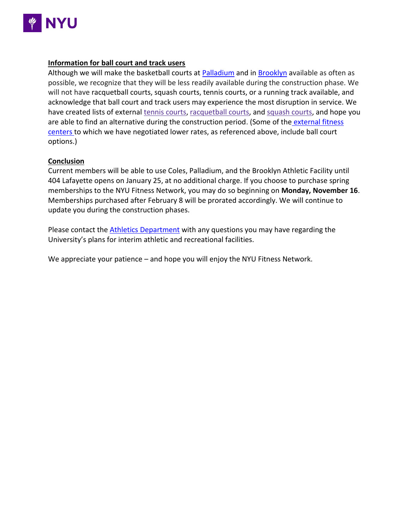

# **Information for ball court and track users**

Although we will make the basketball courts at [Palladium](http://gonyuathletics.com/sports/2014/12/18/pafmaincourt.aspx?id=1520) and in [Brooklyn](http://gonyuathletics.com/sports/2015/1/28/bafgymnasium.aspx?id=1533) available as often as possible, we recognize that they will be less readily available during the construction phase. We will not have racquetball courts, squash courts, tennis courts, or a running track available, and acknowledge that ball court and track users may experience the most disruption in service. We have created lists of external [tennis courts,](http://gonyuathletics.com/sports/2015/5/8/GEN_0508152802.aspx?id=1541) [racquetball courts,](http://gonyuathletics.com/sports/2015/5/8/GEN_0508153110.aspx?id=1544) and [squash courts,](http://gonyuathletics.com/sports/2015/5/8/GEN_0508153001.aspx?id=1543) and hope you are able to find an alternative during the construction period. (Some of the external fitness [centers](http://www.gonyuathletics.com/sports/2015/10/29/GEN_1029155454.aspx?id=1601) to which we have negotiated lower rates, as referenced above, include ball court options.)

#### **Conclusion**

Current members will be able to use Coles, Palladium, and the Brooklyn Athletic Facility until 404 Lafayette opens on January 25, at no additional charge. If you choose to purchase spring memberships to the NYU Fitness Network, you may do so beginning on **Monday, November 16**. Memberships purchased after February 8 will be prorated accordingly. We will continue to update you during the construction phases.

Please contact the [Athletics Department](https://docs.google.com/forms/d/1ouK8OSb4yFky_6P70pb8aQylf-7MJogsXZbVYRESqpA/viewform) with any questions you may have regarding the University's plans for interim athletic and recreational facilities.

We appreciate your patience – and hope you will enjoy the NYU Fitness Network.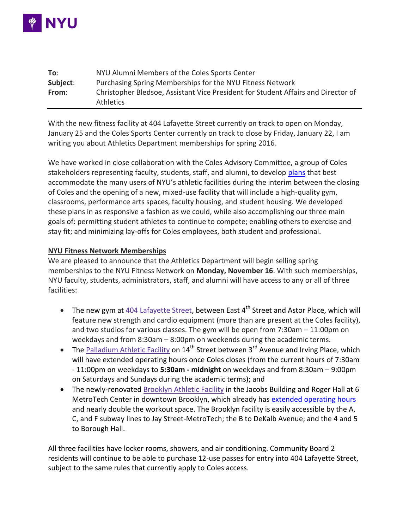

| To:      | NYU Alumni Members of the Coles Sports Center                                                         |
|----------|-------------------------------------------------------------------------------------------------------|
| Subject: | Purchasing Spring Memberships for the NYU Fitness Network                                             |
| From:    | Christopher Bledsoe, Assistant Vice President for Student Affairs and Director of<br><b>Athletics</b> |

With the new fitness facility at 404 Lafayette Street currently on track to open on Monday, January 25 and the Coles Sports Center currently on track to close by Friday, January 22, I am writing you about Athletics Department memberships for spring 2016.

We have worked in close collaboration with the Coles Advisory Committee, a group of Coles stakeholders representing faculty, students, staff, and alumni, to develop [plans](http://gonyuathletics.com/sports/2015/5/19/GEN_0519154428.aspx) that best accommodate the many users of NYU's athletic facilities during the interim between the closing of Coles and the opening of a new, mixed-use facility that will include a high-quality gym, classrooms, performance arts spaces, faculty housing, and student housing. We developed these plans in as responsive a fashion as we could, while also accomplishing our three main goals of: permitting student athletes to continue to compete; enabling others to exercise and stay fit; and minimizing lay-offs for Coles employees, both student and professional.

# **NYU Fitness Network Memberships**

We are pleased to announce that the Athletics Department will begin selling spring memberships to the NYU Fitness Network on **Monday, November 16**. With such memberships, NYU faculty, students, administrators, staff, and alumni will have access to any or all of three facilities:

- The new gym at [404 Lafayette Street,](http://gonyuathletics.com/common/controls/image_handler.aspx?thumb_id=13&image_path=/images/2015/9/9/Coles_404_Lafayette_Gym_render_2.jpg) between East  $4^{th}$  Street and Astor Place, which will feature new strength and cardio equipment (more than are present at the Coles facility), and two studios for various classes. The gym will be open from 7:30am – 11:00pm on weekdays and from 8:30am – 8:00pm on weekends during the academic terms.
- The [Palladium Athletic Facility](http://www.gonyuathletics.com/sports/2011/12/1/Palladium_1201112947.aspx?path=palladium) on  $14<sup>th</sup>$  Street between  $3<sup>rd</sup>$  Avenue and Irving Place, which will have extended operating hours once Coles closes (from the current hours of 7:30am - 11:00pm on weekdays to **5:30am - midnight** on weekdays and from 8:30am – 9:00pm on Saturdays and Sundays during the academic terms); and
- The newly-renovated [Brooklyn Athletic Facility](http://www.gonyuathletics.com/sports/2014/10/8/BAF_1008141433.aspx?path=baf) in the Jacobs Building and Roger Hall at 6 MetroTech Center in downtown Brooklyn, which already has [extended operating hours](http://www.gonyuathletics.com/sports/2014/7/15/BAF_0715144605.aspx?path=baf) and nearly double the workout space. The Brooklyn facility is easily accessible by the A, C, and F subway lines to Jay Street-MetroTech; the B to DeKalb Avenue; and the 4 and 5 to Borough Hall.

All three facilities have locker rooms, showers, and air conditioning. Community Board 2 residents will continue to be able to purchase 12-use passes for entry into 404 Lafayette Street, subject to the same rules that currently apply to Coles access.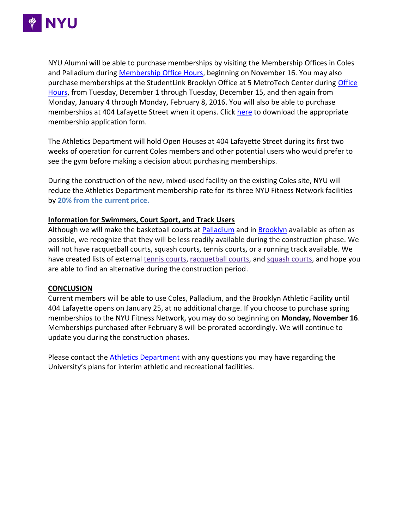

NYU Alumni will be able to purchase memberships by visiting the Membership Offices in Coles and Palladium during [Membership Office Hours,](http://gonyuathletics.com/sports/2015/3/17/Fac_0317151751.aspx) beginning on November 16. You may also purchase memberships at the StudentLink Brooklyn Office at 5 MetroTech Center during [Office](http://www.nyu.edu/life/resources-and-services/nyu-studentlink.html)  [Hours,](http://www.nyu.edu/life/resources-and-services/nyu-studentlink.html) from Tuesday, December 1 through Tuesday, December 15, and then again from Monday, January 4 through Monday, February 8, 2016. You will also be able to purchase memberships at 404 Lafayette Street when it opens. Click [here](http://gonyuathletics.com/sports/2015/3/17/Fac_0317151751.aspx) to download the appropriate membership application form.

The Athletics Department will hold Open Houses at 404 Lafayette Street during its first two weeks of operation for current Coles members and other potential users who would prefer to see the gym before making a decision about purchasing memberships.

During the construction of the new, mixed-used facility on the existing Coles site, NYU will reduce the Athletics Department membership rate for its three NYU Fitness Network facilities by **[20% from the current price.](http://gonyuathletics.com/sports/2015/3/17/Fac_0317151751.aspx#member)**

## **Information for Swimmers, Court Sport, and Track Users**

Although we will make the basketball courts at [Palladium](http://gonyuathletics.com/sports/2014/12/18/pafmaincourt.aspx?id=1520) and in [Brooklyn](http://gonyuathletics.com/sports/2015/1/28/bafgymnasium.aspx?id=1533) available as often as possible, we recognize that they will be less readily available during the construction phase. We will not have racquetball courts, squash courts, tennis courts, or a running track available. We have created lists of external [tennis courts,](http://gonyuathletics.com/sports/2015/5/8/GEN_0508152802.aspx?id=1541) [racquetball courts,](http://gonyuathletics.com/sports/2015/5/8/GEN_0508153110.aspx?id=1544) and [squash courts,](http://gonyuathletics.com/sports/2015/5/8/GEN_0508153001.aspx?id=1543) and hope you are able to find an alternative during the construction period.

#### **CONCLUSION**

Current members will be able to use Coles, Palladium, and the Brooklyn Athletic Facility until 404 Lafayette opens on January 25, at no additional charge. If you choose to purchase spring memberships to the NYU Fitness Network, you may do so beginning on **Monday, November 16**. Memberships purchased after February 8 will be prorated accordingly. We will continue to update you during the construction phases.

Please contact the [Athletics Department](https://docs.google.com/forms/d/1ouK8OSb4yFky_6P70pb8aQylf-7MJogsXZbVYRESqpA/viewform) with any questions you may have regarding the University's plans for interim athletic and recreational facilities.